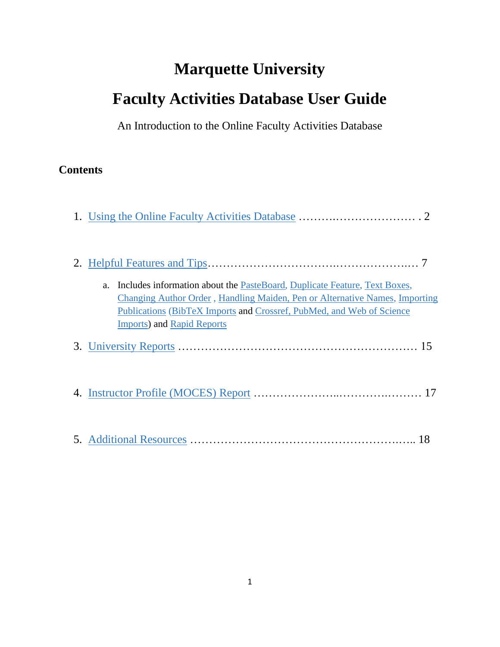# **Marquette University Faculty Activities Database User Guide**

An Introduction to the Online Faculty Activities Database

# **Contents**

| Includes information about the PasteBoard, Duplicate Feature, Text Boxes,<br>a.<br>Changing Author Order, Handling Maiden, Pen or Alternative Names, Importing<br>Publications (BibTeX Imports and Crossref, PubMed, and Web of Science<br><b>Imports)</b> and Rapid Reports |
|------------------------------------------------------------------------------------------------------------------------------------------------------------------------------------------------------------------------------------------------------------------------------|
|                                                                                                                                                                                                                                                                              |
|                                                                                                                                                                                                                                                                              |
|                                                                                                                                                                                                                                                                              |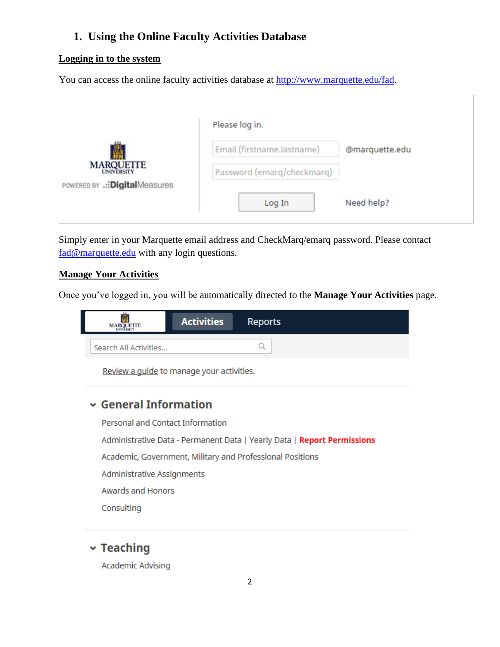## <span id="page-1-0"></span>**1. Using the Online Faculty Activities Database**

#### **Logging in to the system**

You can access the online faculty activities database at [http://www.marquette.edu/fad.](http://www.marquette.edu/fad)

|                                | Please log in.             |                |  |
|--------------------------------|----------------------------|----------------|--|
|                                | Email (firstname.lastname) | @marquette.edu |  |
| <b>MARQUETTE</b>               | Password (emarq/checkmarq) |                |  |
| POWERED BY .:: DigitalMeasures |                            |                |  |
|                                | Log In                     | Need help?     |  |

Simply enter in your Marquette email address and CheckMarq/emarq password. Please contact [fad@marquette.edu](mailto:fad@marquette.edu) with any login questions.

#### **Manage Your Activities**

Once you've logged in, you will be automatically directed to the **Manage Your Activities** page.



Review a guide to manage your activities.

# $\sim$  General Information

Personal and Contact Information Administrative Data - Permanent Data | Yearly Data | Report Permissions Academic, Government, Military and Professional Positions Administrative Assignments Awards and Honors Consulting

## $\mathbf{\times}$  Teaching

Academic Advising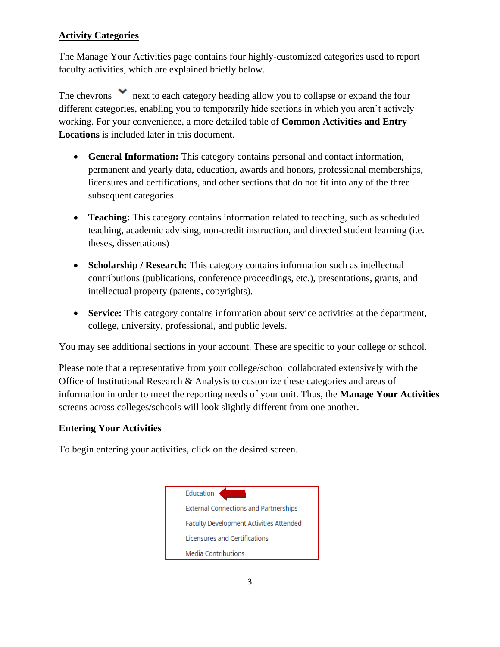## **Activity Categories**

The Manage Your Activities page contains four highly-customized categories used to report faculty activities, which are explained briefly below.

The chevrons next to each category heading allow you to collapse or expand the four different categories, enabling you to temporarily hide sections in which you aren't actively working. For your convenience, a more detailed table of **Common Activities and Entry Locations** is included later in this document.

- **General Information:** This category contains personal and contact information, permanent and yearly data, education, awards and honors, professional memberships, licensures and certifications, and other sections that do not fit into any of the three subsequent categories.
- **Teaching:** This category contains information related to teaching, such as scheduled teaching, academic advising, non-credit instruction, and directed student learning (i.e. theses, dissertations)
- **Scholarship / Research:** This category contains information such as intellectual contributions (publications, conference proceedings, etc.), presentations, grants, and intellectual property (patents, copyrights).
- **Service:** This category contains information about service activities at the department, college, university, professional, and public levels.

You may see additional sections in your account. These are specific to your college or school.

Please note that a representative from your college/school collaborated extensively with the Office of Institutional Research & Analysis to customize these categories and areas of information in order to meet the reporting needs of your unit. Thus, the **Manage Your Activities** screens across colleges/schools will look slightly different from one another.

#### **Entering Your Activities**

To begin entering your activities, click on the desired screen.

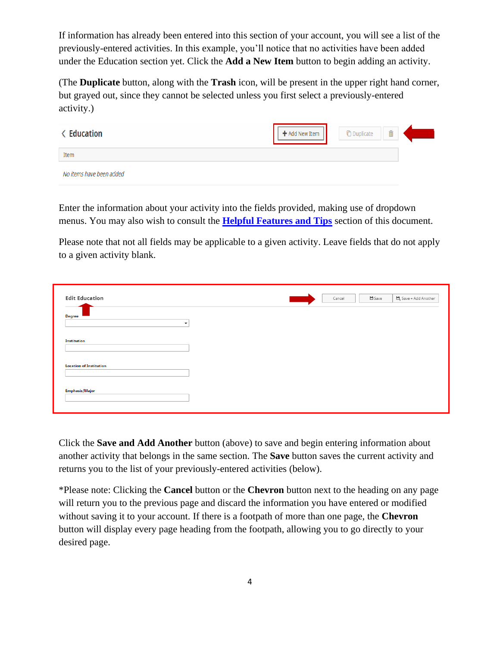If information has already been entered into this section of your account, you will see a list of the previously-entered activities. In this example, you'll notice that no activities have been added under the Education section yet. Click the **Add a New Item** button to begin adding an activity.

(The **Duplicate** button, along with the **Trash** icon, will be present in the upper right hand corner, but grayed out, since they cannot be selected unless you first select a previously-entered activity.)

| <b>&lt; Education</b>    | + Add New Item | <b><i>C</i></b> Duplicate | $\hat{\mathbb{m}}$ |  |
|--------------------------|----------------|---------------------------|--------------------|--|
| Item                     |                |                           |                    |  |
| No items have been added |                |                           |                    |  |

Enter the information about your activity into the fields provided, making use of dropdown menus. You may also wish to consult the **[Helpful Features and Tips](#page-6-0)** section of this document.

Please note that not all fields may be applicable to a given activity. Leave fields that do not apply to a given activity blank.

| <b>Edit Education</b>                     |  | Cancel | $H$ Save | $\mathbf{H}_{\scriptscriptstyle{+}}$ Save + Add Another |
|-------------------------------------------|--|--------|----------|---------------------------------------------------------|
| <b>Degree</b><br>$\overline{\phantom{a}}$ |  |        |          |                                                         |
| <b>Institution</b>                        |  |        |          |                                                         |
| <b>Location of Institution</b>            |  |        |          |                                                         |
| <b>Emphasis/Major</b>                     |  |        |          |                                                         |
|                                           |  |        |          |                                                         |

Click the **Save and Add Another** button (above) to save and begin entering information about another activity that belongs in the same section. The **Save** button saves the current activity and returns you to the list of your previously-entered activities (below).

\*Please note: Clicking the **Cancel** button or the **Chevron** button next to the heading on any page will return you to the previous page and discard the information you have entered or modified without saving it to your account. If there is a footpath of more than one page, the **Chevron** button will display every page heading from the footpath, allowing you to go directly to your desired page.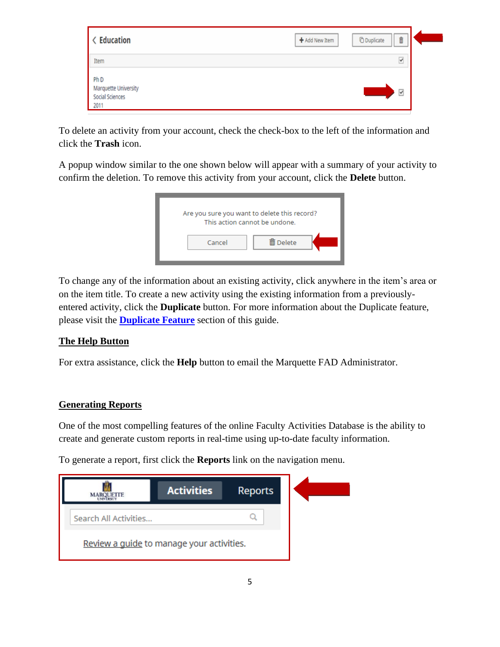| < Education                                                        | Ô<br><b><i>O</i></b> Duplicate<br>+ Add New Item |  |
|--------------------------------------------------------------------|--------------------------------------------------|--|
| Item                                                               | $\blacktriangledown$                             |  |
| Ph <sub>D</sub><br>Marquette University<br>Social Sciences<br>2011 | $\overline{\mathbf{S}}$                          |  |

To delete an activity from your account, check the check-box to the left of the information and click the **Trash** icon.

A popup window similar to the one shown below will appear with a summary of your activity to confirm the deletion. To remove this activity from your account, click the **Delete** button.



To change any of the information about an existing activity, click anywhere in the item's area or on the item title. To create a new activity using the existing information from a previouslyentered activity, click the **Duplicate** button. For more information about the Duplicate feature, please visit the **[Duplicate](#page-7-0) Feature** section of this guide.

## **The Help Button**

For extra assistance, click the **Help** button to email the Marquette FAD Administrator.

#### **Generating Reports**

One of the most compelling features of the online Faculty Activities Database is the ability to create and generate custom reports in real-time using up-to-date faculty information.

To generate a report, first click the **Reports** link on the navigation menu.

| <b>ETTE</b>                               | <b>Activities</b> | <b>Reports</b> |  |
|-------------------------------------------|-------------------|----------------|--|
| Search All Activities                     |                   |                |  |
| Review a guide to manage your activities. |                   |                |  |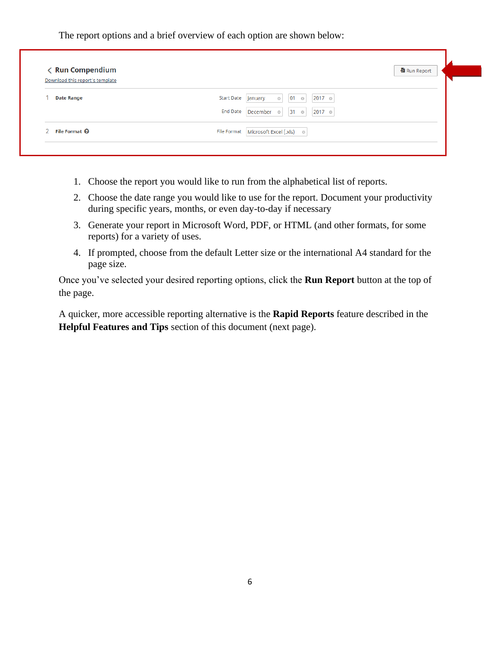The report options and a brief overview of each option are shown below:

| < Run Compendium                |                                                                   | Run Report |
|---------------------------------|-------------------------------------------------------------------|------------|
| Download this report's template |                                                                   |            |
| <b>Date Range</b>               | <b>Start Date</b><br>2017 ◎<br>$01$ $\circ$<br>January<br>$\circ$ |            |
|                                 | End Date December o<br>2017 ☉<br>$31$ $\circ$                     |            |
| File Format <sup>@</sup>        | File Format   Microsoft Excel (.xls) ©                            |            |

- 1. Choose the report you would like to run from the alphabetical list of reports.
- 2. Choose the date range you would like to use for the report. Document your productivity during specific years, months, or even day-to-day if necessary
- 3. Generate your report in Microsoft Word, PDF, or HTML (and other formats, for some reports) for a variety of uses.
- 4. If prompted, choose from the default Letter size or the international A4 standard for the page size.

Once you've selected your desired reporting options, click the **Run Report** button at the top of the page.

A quicker, more accessible reporting alternative is the **Rapid Reports** feature described in the **Helpful Features and Tips** section of this document (next page).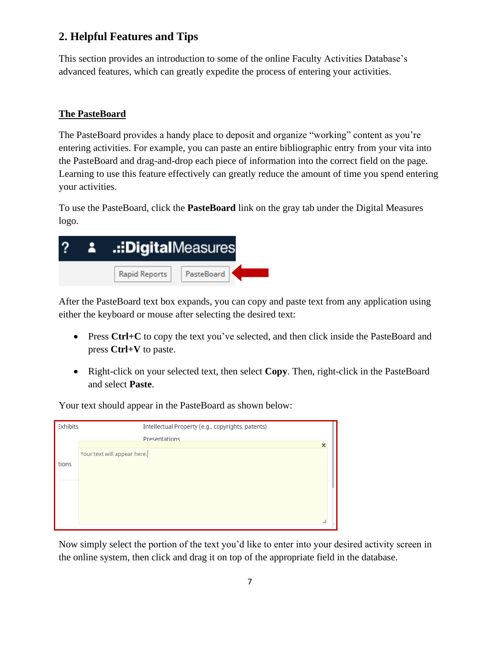## <span id="page-6-0"></span>**2. Helpful Features and Tips**

This section provides an introduction to some of the online Faculty Activities Database's advanced features, which can greatly expedite the process of entering your activities.

## <span id="page-6-1"></span>**The PasteBoard**

The PasteBoard provides a handy place to deposit and organize "working" content as you're entering activities. For example, you can paste an entire bibliographic entry from your vita into the PasteBoard and drag-and-drop each piece of information into the correct field on the page. Learning to use this feature effectively can greatly reduce the amount of time you spend entering your activities.

To use the PasteBoard, click the **PasteBoard** link on the gray tab under the Digital Measures logo.



After the PasteBoard text box expands, you can copy and paste text from any application using either the keyboard or mouse after selecting the desired text:

- Press Ctrl+C to copy the text you've selected, and then click inside the PasteBoard and press **Ctrl+V** to paste.
- Right-click on your selected text, then select **Copy**. Then, right-click in the PasteBoard and select **Paste**.

Your text should appear in the PasteBoard as shown below:

| Exhibits | Intellectual Property (e.g., copyrights, patents) |   |
|----------|---------------------------------------------------|---|
|          | Presentations                                     |   |
|          |                                                   | × |
|          | Your text will appear here.                       |   |
| tions    |                                                   |   |
|          |                                                   |   |
|          |                                                   |   |
|          |                                                   |   |
|          |                                                   |   |
|          |                                                   |   |
|          |                                                   |   |

Now simply select the portion of the text you'd like to enter into your desired activity screen in the online system, then click and drag it on top of the appropriate field in the database.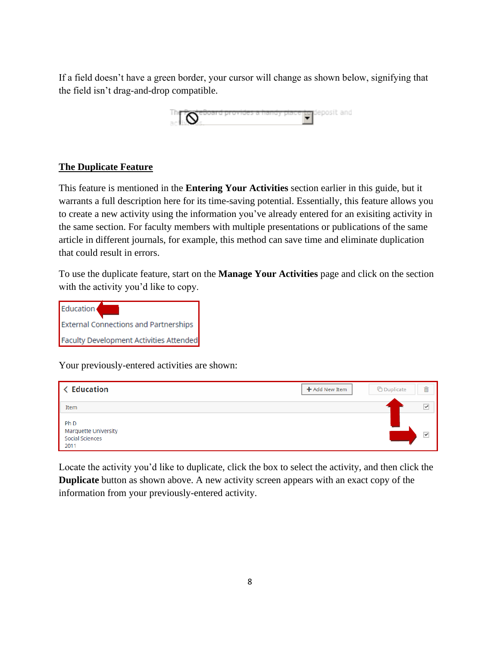If a field doesn't have a green border, your cursor will change as shown below, signifying that the field isn't drag-and-drop compatible.



#### <span id="page-7-0"></span>**The Duplicate Feature**

This feature is mentioned in the **Entering Your Activities** section earlier in this guide, but it warrants a full description here for its time-saving potential. Essentially, this feature allows you to create a new activity using the information you've already entered for an exisiting activity in the same section. For faculty members with multiple presentations or publications of the same article in different journals, for example, this method can save time and eliminate duplication that could result in errors.

To use the duplicate feature, start on the **Manage Your Activities** page and click on the section with the activity you'd like to copy.



Your previously-entered activities are shown:



Locate the activity you'd like to duplicate, click the box to select the activity, and then click the **Duplicate** button as shown above. A new activity screen appears with an exact copy of the information from your previously-entered activity.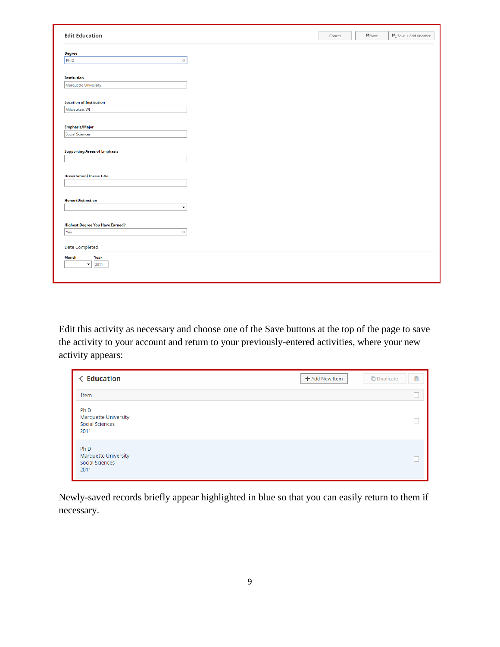| <b>Edit Education</b>                  | Cancel | <b>出</b> Save | $\Box_{\mathsf{L}}$ Save + Add Another |  |
|----------------------------------------|--------|---------------|----------------------------------------|--|
|                                        |        |               |                                        |  |
| <b>Degree</b>                          |        |               |                                        |  |
| PhD<br>$_{\bigodot}$                   |        |               |                                        |  |
|                                        |        |               |                                        |  |
| <b>Institution</b>                     |        |               |                                        |  |
| Marquette University                   |        |               |                                        |  |
|                                        |        |               |                                        |  |
| <b>Location of Institution</b>         |        |               |                                        |  |
| Milwaukee, WI                          |        |               |                                        |  |
|                                        |        |               |                                        |  |
| <b>Emphasis/Major</b>                  |        |               |                                        |  |
| Social Sciences                        |        |               |                                        |  |
|                                        |        |               |                                        |  |
| <b>Supporting Areas of Emphasis</b>    |        |               |                                        |  |
|                                        |        |               |                                        |  |
|                                        |        |               |                                        |  |
| <b>Dissertation/Thesis Title</b>       |        |               |                                        |  |
|                                        |        |               |                                        |  |
|                                        |        |               |                                        |  |
| <b>Honor/Distinction</b>               |        |               |                                        |  |
| $\blacktriangledown$                   |        |               |                                        |  |
|                                        |        |               |                                        |  |
| <b>Highest Degree You Have Earned?</b> |        |               |                                        |  |
| Yes<br>$_{\bigodot}$                   |        |               |                                        |  |
|                                        |        |               |                                        |  |
| Date Completed                         |        |               |                                        |  |
| <b>Month</b><br>Year                   |        |               |                                        |  |
| $\blacktriangledown$<br>2011           |        |               |                                        |  |
|                                        |        |               |                                        |  |
|                                        |        |               |                                        |  |

Edit this activity as necessary and choose one of the Save buttons at the top of the page to save the activity to your account and return to your previously-entered activities, where your new activity appears:

| <b>&lt; Education</b>                                                     | 侖<br><b><i>C</i></b> Duplicate<br>$+$ Add New Item |
|---------------------------------------------------------------------------|----------------------------------------------------|
| Item                                                                      |                                                    |
| Ph <sub>D</sub><br>Marquette University<br><b>Social Sciences</b><br>2011 |                                                    |
| Ph <sub>D</sub><br>Marquette University<br>Social Sciences<br>2011        |                                                    |

<span id="page-8-0"></span>Newly-saved records briefly appear highlighted in blue so that you can easily return to them if necessary.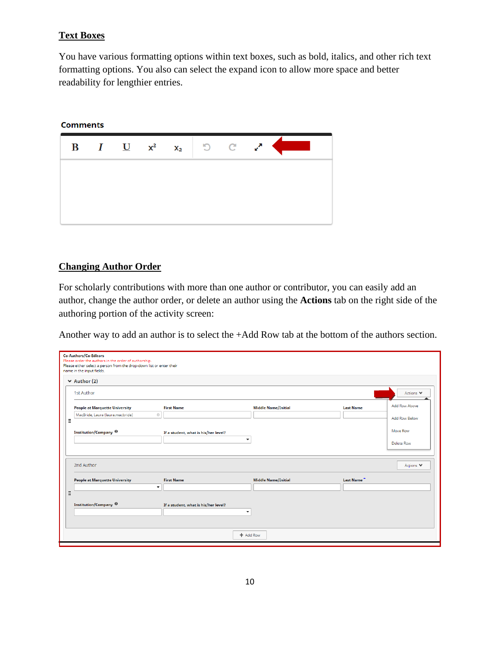#### **Text Boxes**

You have various formatting options within text boxes, such as bold, italics, and other rich text formatting options. You also can select the expand icon to allow more space and better readability for lengthier entries.

#### **Comments**



#### <span id="page-9-0"></span>**Changing Author Order**

For scholarly contributions with more than one author or contributor, you can easily add an author, change the author order, or delete an author using the **Actions** tab on the right side of the authoring portion of the activity screen:

Another way to add an author is to select the +Add Row tab at the bottom of the authors section.

|   | Co-Authors/Co-Editors<br>Please order the authors in the order of authorship.<br>Please either select a person from the drop-down list or enter their<br>name in the input fields. |                                                      |                            |                  |                      |  |  |
|---|------------------------------------------------------------------------------------------------------------------------------------------------------------------------------------|------------------------------------------------------|----------------------------|------------------|----------------------|--|--|
|   | $\vee$ Author (2)                                                                                                                                                                  |                                                      |                            |                  |                      |  |  |
|   | 1st Author                                                                                                                                                                         |                                                      |                            | Actions V        |                      |  |  |
|   | <b>People at Marquette University</b>                                                                                                                                              | <b>First Name</b>                                    | <b>Middle Name/Initial</b> | <b>Last Name</b> | Add Row Above        |  |  |
| Ξ | MacBride, Laura (laura.macbride)<br>$\circlearrowright$                                                                                                                            |                                                      |                            |                  | <b>Add Row Below</b> |  |  |
|   | Institution/Company <sup>@</sup>                                                                                                                                                   | If a student, what is his/her level?                 |                            |                  | Move Row             |  |  |
|   |                                                                                                                                                                                    | $\overline{\phantom{a}}$                             |                            |                  | Delete Row           |  |  |
|   | 2nd Author<br><b>People at Marquette University</b>                                                                                                                                | <b>First Name</b>                                    | <b>Middle Name/Initial</b> | Last Name        | Actions V            |  |  |
|   | $\overline{\phantom{a}}$                                                                                                                                                           |                                                      |                            |                  |                      |  |  |
| × | Institution/Company <sup>@</sup>                                                                                                                                                   | If a student, what is his/her level?<br>$\checkmark$ |                            |                  |                      |  |  |
|   |                                                                                                                                                                                    | + Add Row                                            |                            |                  |                      |  |  |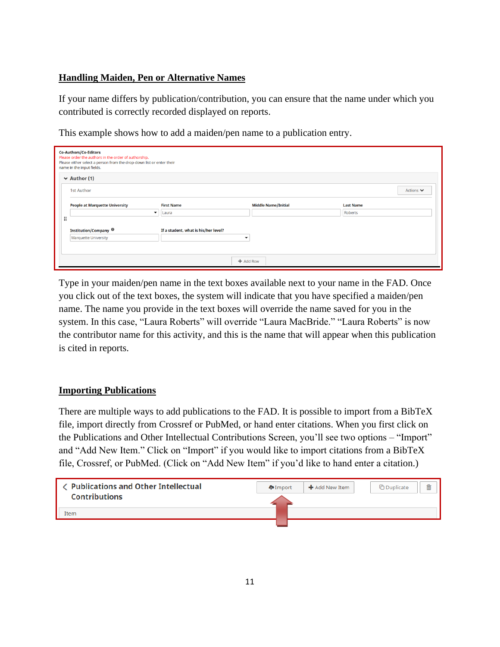#### <span id="page-10-0"></span>**Handling Maiden, Pen or Alternative Names**

If your name differs by publication/contribution, you can ensure that the name under which you contributed is correctly recorded displayed on reports.

This example shows how to add a maiden/pen name to a publication entry.

<span id="page-10-1"></span>

|                   | <b>Co-Authors/Co-Editors</b><br>Please order the authors in the order of authorship.<br>Please either select a person from the drop-down list or enter their<br>name in the input fields. |                                       |                                      |                            |                  |  |  |
|-------------------|-------------------------------------------------------------------------------------------------------------------------------------------------------------------------------------------|---------------------------------------|--------------------------------------|----------------------------|------------------|--|--|
|                   | $\vee$ Author (1)                                                                                                                                                                         |                                       |                                      |                            |                  |  |  |
| <b>1st Author</b> |                                                                                                                                                                                           |                                       | Actions <b>↓</b>                     |                            |                  |  |  |
|                   |                                                                                                                                                                                           | <b>People at Marquette University</b> | <b>First Name</b>                    | <b>Middle Name/Initial</b> | <b>Last Name</b> |  |  |
|                   |                                                                                                                                                                                           | $\overline{\phantom{0}}$              | Laura                                |                            | Roberts          |  |  |
|                   | ∷                                                                                                                                                                                         |                                       |                                      |                            |                  |  |  |
|                   |                                                                                                                                                                                           | Institution/Company <sup>@</sup>      | If a student, what is his/her level? |                            |                  |  |  |
|                   |                                                                                                                                                                                           | Marquette University                  | $\overline{\phantom{a}}$             |                            |                  |  |  |
|                   |                                                                                                                                                                                           |                                       |                                      |                            |                  |  |  |
|                   | $+$ Add Row                                                                                                                                                                               |                                       |                                      |                            |                  |  |  |

Type in your maiden/pen name in the text boxes available next to your name in the FAD. Once you click out of the text boxes, the system will indicate that you have specified a maiden/pen name. The name you provide in the text boxes will override the name saved for you in the system. In this case, "Laura Roberts" will override "Laura MacBride." "Laura Roberts" is now the contributor name for this activity, and this is the name that will appear when this publication is cited in reports.

#### **Importing Publications**

There are multiple ways to add publications to the FAD. It is possible to import from a BibTeX file, import directly from Crossref or PubMed, or hand enter citations. When you first click on the Publications and Other Intellectual Contributions Screen, you'll see two options – "Import" and "Add New Item." Click on "Import" if you would like to import citations from a BibTeX file, Crossref, or PubMed. (Click on "Add New Item" if you'd like to hand enter a citation.)

<span id="page-10-2"></span>

| <b>く Publications and Other Intellectual</b><br><b>Contributions</b> | <b>D</b> Import | $\bigstar$ Add New Item | <b>∩</b> Duplicate | 侖 |
|----------------------------------------------------------------------|-----------------|-------------------------|--------------------|---|
| Item                                                                 |                 |                         |                    |   |
|                                                                      |                 |                         |                    |   |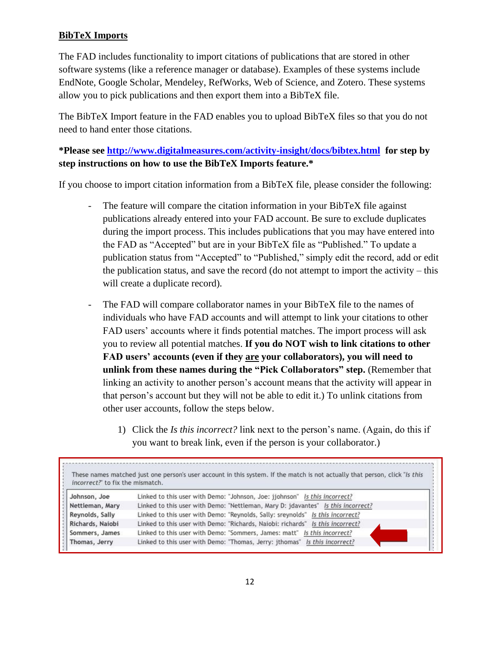## **BibTeX Imports**

The FAD includes functionality to import citations of publications that are stored in other software systems (like a reference manager or database). Examples of these systems include EndNote, Google Scholar, Mendeley, RefWorks, Web of Science, and Zotero. These systems allow you to pick publications and then export them into a BibTeX file.

The BibTeX Import feature in the FAD enables you to upload BibTeX files so that you do not need to hand enter those citations.

**\*Please see <http://www.digitalmeasures.com/activity-insight/docs/bibtex.html> for step by step instructions on how to use the BibTeX Imports feature.\***

If you choose to import citation information from a BibTeX file, please consider the following:

- The feature will compare the citation information in your BibTeX file against publications already entered into your FAD account. Be sure to exclude duplicates during the import process. This includes publications that you may have entered into the FAD as "Accepted" but are in your BibTeX file as "Published." To update a publication status from "Accepted" to "Published," simply edit the record, add or edit the publication status, and save the record (do not attempt to import the activity – this will create a duplicate record).
- The FAD will compare collaborator names in your BibTeX file to the names of individuals who have FAD accounts and will attempt to link your citations to other FAD users' accounts where it finds potential matches. The import process will ask you to review all potential matches. **If you do NOT wish to link citations to other FAD users' accounts (even if they are your collaborators), you will need to unlink from these names during the "Pick Collaborators" step.** (Remember that linking an activity to another person's account means that the activity will appear in that person's account but they will not be able to edit it.) To unlink citations from other user accounts, follow the steps below.
	- 1) Click the *Is this incorrect?* link next to the person's name. (Again, do this if you want to break link, even if the person is your collaborator.)

| incorrect?" to fix the mismatch. | These names matched just one person's user account in this system. If the match is not actually that person, click "Is this |
|----------------------------------|-----------------------------------------------------------------------------------------------------------------------------|
| Johnson, Joe                     | Linked to this user with Demo: "Johnson, Joe: jjohnson" Is this incorrect?                                                  |
| Nettleman, Mary                  | Linked to this user with Demo: "Nettleman, Mary D: jdavantes" Is this incorrect?                                            |
| Reynolds, Sally                  | Linked to this user with Demo: "Reynolds, Sally: sreynolds" Is this incorrect?                                              |
| Richards, Naiobi                 | Linked to this user with Demo: "Richards, Naiobi: richards" Is this incorrect?                                              |
| Sommers, James                   | Linked to this user with Demo: "Sommers, James: matt" Is this incorrect?                                                    |
| Thomas, Jerry                    | Linked to this user with Demo: "Thomas, Jerry: jthomas" Is this incorrect?                                                  |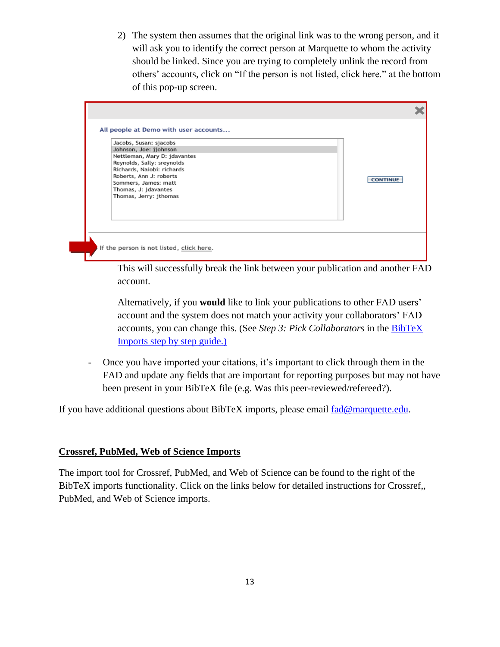2) The system then assumes that the original link was to the wrong person, and it will ask you to identify the correct person at Marquette to whom the activity should be linked. Since you are trying to completely unlink the record from others' accounts, click on "If the person is not listed, click here." at the bottom of this pop-up screen.

| Jacobs, Susan: sjacobs<br>Sommers, James: matt<br>Thomas, J: jdavantes | Johnson, Joe: jjohnson<br>Nettleman, Mary D: jdavantes<br>Reynolds, Sally: sreynolds<br>Richards, Naiobi: richards<br>Roberts, Ann J: roberts<br>Thomas, Jerry: jthomas |  |  | <b>CONTINUE</b> |
|------------------------------------------------------------------------|-------------------------------------------------------------------------------------------------------------------------------------------------------------------------|--|--|-----------------|
|------------------------------------------------------------------------|-------------------------------------------------------------------------------------------------------------------------------------------------------------------------|--|--|-----------------|

This will successfully break the link between your publication and another FAD account.

Alternatively, if you **would** like to link your publications to other FAD users' account and the system does not match your activity your collaborators' FAD accounts, you can change this. (See *Step 3: Pick Collaborators* in the [BibTeX](http://www.digitalmeasures.com/activity-insight/docs/bibtex.html)  Imports step [by step guide.\)](http://www.digitalmeasures.com/activity-insight/docs/bibtex.html)

- Once you have imported your citations, it's important to click through them in the FAD and update any fields that are important for reporting purposes but may not have been present in your BibTeX file (e.g. Was this peer-reviewed/refereed?).

If you have additional questions about BibTeX imports, please email [fad@marquette.edu.](mailto:fad@marquette.edu)

#### <span id="page-12-0"></span>**Crossref, PubMed, Web of Science Imports**

The import tool for Crossref, PubMed, and Web of Science can be found to the right of the BibTeX imports functionality. Click on the links below for detailed instructions for Crossref,, PubMed, and Web of Science imports.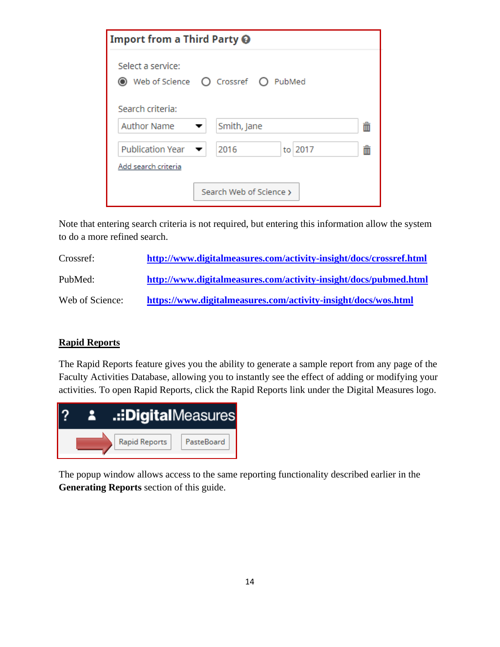| Import from a Third Party <b>@</b>                           |                                      |   |  |  |
|--------------------------------------------------------------|--------------------------------------|---|--|--|
| Select a service:                                            | ◉ Web of Science ○ Crossref ○ PubMed |   |  |  |
| Search criteria:                                             |                                      |   |  |  |
| <b>Author Name</b>                                           | Smith, Jane                          | 面 |  |  |
| Publication Year $\blacktriangledown$<br>Add search criteria | to 2017<br>2016                      | m |  |  |
| Search Web of Science >                                      |                                      |   |  |  |

Note that entering search criteria is not required, but entering this information allow the system to do a more refined search.

| Crossref:       | http://www.digitalmeasures.com/activity-insight/docs/crossref.html |
|-----------------|--------------------------------------------------------------------|
| PubMed:         | http://www.digitalmeasures.com/activity-insight/docs/pubmed.html   |
| Web of Science: | https://www.digitalmeasures.com/activity-insight/docs/wos.html     |

#### <span id="page-13-0"></span>**Rapid Reports**

The Rapid Reports feature gives you the ability to generate a sample report from any page of the Faculty Activities Database, allowing you to instantly see the effect of adding or modifying your activities. To open Rapid Reports, click the Rapid Reports link under the Digital Measures logo.



<span id="page-13-1"></span>The popup window allows access to the same reporting functionality described earlier in the **Generating Reports** section of this guide.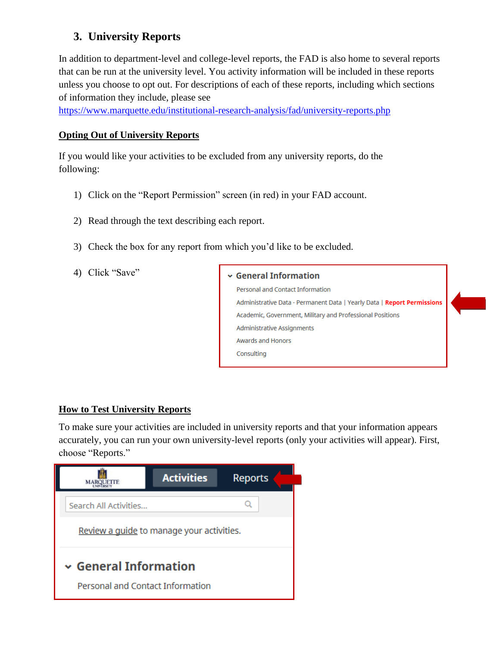# **3. University Reports**

In addition to department-level and college-level reports, the FAD is also home to several reports that can be run at the university level. You activity information will be included in these reports unless you choose to opt out. For descriptions of each of these reports, including which sections of information they include, please see

<https://www.marquette.edu/institutional-research-analysis/fad/university-reports.php>

#### **Opting Out of University Reports**

If you would like your activities to be excluded from any university reports, do the following:

- 1) Click on the "Report Permission" screen (in red) in your FAD account.
- 2) Read through the text describing each report.
- 3) Check the box for any report from which you'd like to be excluded.
- 4) Click "Save"

#### $\backsim$  General Information

Personal and Contact Information Administrative Data - Permanent Data | Yearly Data | Report Permissions Academic, Government, Military and Professional Positions Administrative Assignments Awards and Honors Consulting

#### **How to Test University Reports**

To make sure your activities are included in university reports and that your information appears accurately, you can run your own university-level reports (only your activities will appear). First, choose "Reports."

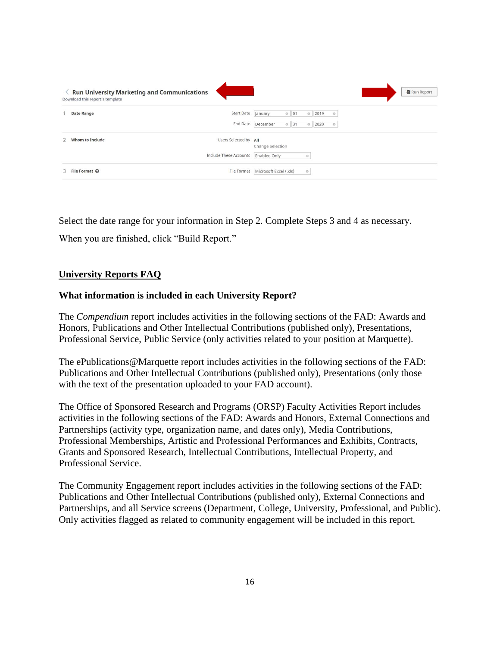| <b>Run University Marketing and Communications</b><br>Download this report's template |                        | <b>最</b> Run Report                              |
|---------------------------------------------------------------------------------------|------------------------|--------------------------------------------------|
| <b>Date Range</b>                                                                     | Start Date January     | $0$ 01<br>2019<br>$\circ$<br>$\circ$             |
|                                                                                       | End Date               | December<br>$0$ 31<br>2020<br>$\circ$<br>$\circ$ |
| Whom to Include                                                                       | Users Selected by All  | Change Selection                                 |
|                                                                                       | Include These Accounts | Enabled Only<br>$\circ$                          |
| 3 File Format @                                                                       |                        | File Format   Microsoft Excel (.xls)<br>$\circ$  |

Select the date range for your information in Step 2. Complete Steps 3 and 4 as necessary.

When you are finished, click "Build Report."

#### **University Reports FAQ**

#### **What information is included in each University Report?**

The *Compendium* report includes activities in the following sections of the FAD: Awards and Honors, Publications and Other Intellectual Contributions (published only), Presentations, Professional Service, Public Service (only activities related to your position at Marquette).

The ePublications@Marquette report includes activities in the following sections of the FAD: Publications and Other Intellectual Contributions (published only), Presentations (only those with the text of the presentation uploaded to your FAD account).

The Office of Sponsored Research and Programs (ORSP) Faculty Activities Report includes activities in the following sections of the FAD: Awards and Honors, External Connections and Partnerships (activity type, organization name, and dates only), Media Contributions, Professional Memberships, Artistic and Professional Performances and Exhibits, Contracts, Grants and Sponsored Research, Intellectual Contributions, Intellectual Property, and Professional Service.

The Community Engagement report includes activities in the following sections of the FAD: Publications and Other Intellectual Contributions (published only), External Connections and Partnerships, and all Service screens (Department, College, University, Professional, and Public). Only activities flagged as related to community engagement will be included in this report.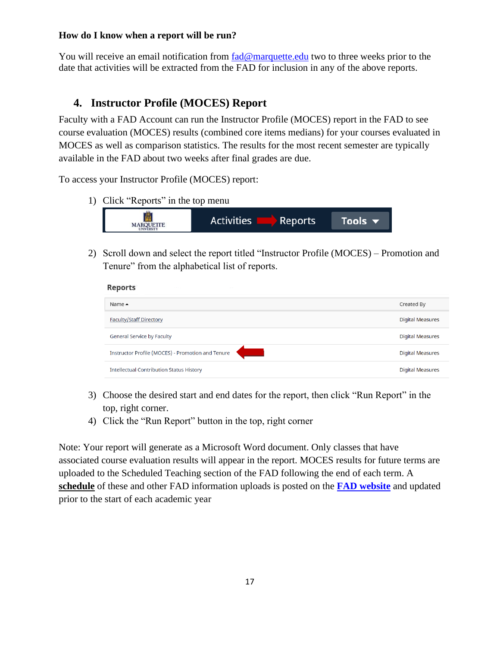#### **How do I know when a report will be run?**

You will receive an email notification from [fad@marquette.edu](mailto:fad@marquette.edu) two to three weeks prior to the date that activities will be extracted from the FAD for inclusion in any of the above reports.

## <span id="page-16-1"></span><span id="page-16-0"></span>**4. Instructor Profile (MOCES) Report**

Faculty with a FAD Account can run the Instructor Profile (MOCES) report in the FAD to see course evaluation (MOCES) results (combined core items medians) for your courses evaluated in MOCES as well as comparison statistics. The results for the most recent semester are typically available in the FAD about two weeks after final grades are due.

To access your Instructor Profile (MOCES) report:

1) Click "Reports" in the top menu



2) Scroll down and select the report titled "Instructor Profile (MOCES) – Promotion and Tenure" from the alphabetical list of reports.

| <b>Reports</b>                                    |                         |
|---------------------------------------------------|-------------------------|
| Name $\triangle$                                  | Created By              |
| <b>Faculty/Staff Directory</b>                    | <b>Digital Measures</b> |
| <b>General Service by Faculty</b>                 | <b>Digital Measures</b> |
| Instructor Profile (MOCES) - Promotion and Tenure | <b>Digital Measures</b> |
| <b>Intellectual Contribution Status History</b>   | <b>Digital Measures</b> |

- 3) Choose the desired start and end dates for the report, then click "Run Report" in the top, right corner.
- 4) Click the "Run Report" button in the top, right corner

Note: Your report will generate as a Microsoft Word document. Only classes that have associated course evaluation results will appear in the report. MOCES results for future terms are uploaded to the Scheduled Teaching section of the FAD following the end of each term. A **[schedule](https://www.marquette.edu/institutional-research-analysis/documents/fad-upload-schedule.pdf)** of these and other FAD information uploads is posted on the **FAD [website](https://www.marquette.edu/institutional-research-analysis/fad/)** and updated prior to the start of each academic year